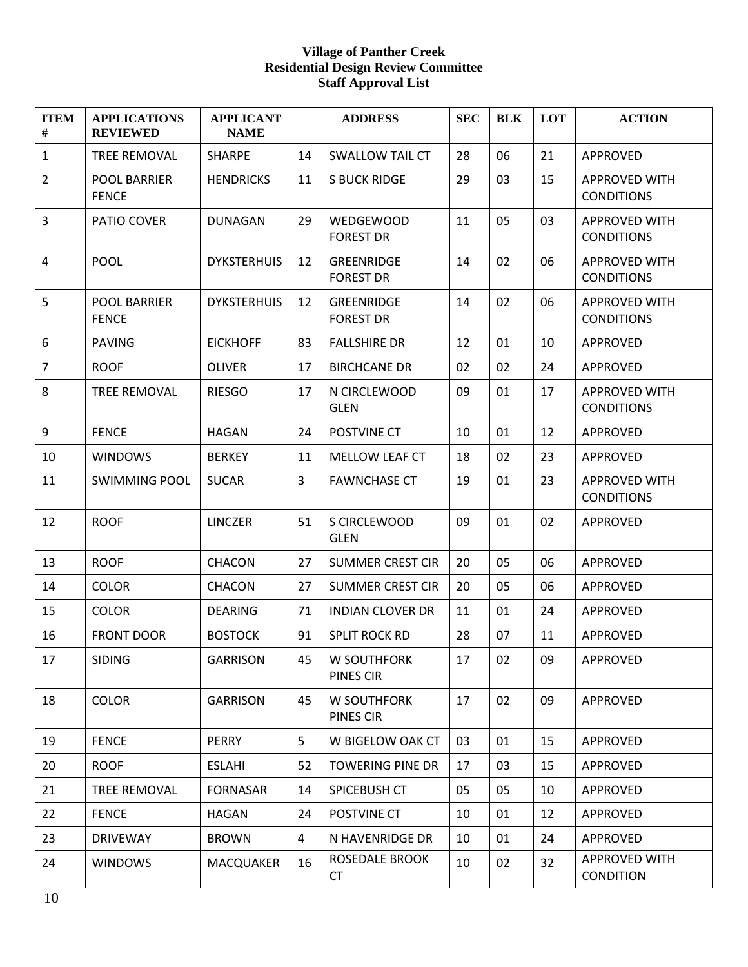## **Village of Panther Creek Residential Design Review Committee Staff Approval List**

| <b>ITEM</b><br># | <b>APPLICATIONS</b><br><b>REVIEWED</b> | <b>APPLICANT</b><br><b>NAME</b> |                | <b>ADDRESS</b>                       | <b>SEC</b> | <b>BLK</b> | <b>LOT</b> | <b>ACTION</b>                             |
|------------------|----------------------------------------|---------------------------------|----------------|--------------------------------------|------------|------------|------------|-------------------------------------------|
| $\mathbf{1}$     | <b>TREE REMOVAL</b>                    | <b>SHARPE</b>                   | 14             | <b>SWALLOW TAIL CT</b>               | 28         | 06         | 21         | <b>APPROVED</b>                           |
| $\overline{2}$   | POOL BARRIER<br><b>FENCE</b>           | <b>HENDRICKS</b>                | 11             | <b>S BUCK RIDGE</b>                  | 29         | 03         | 15         | <b>APPROVED WITH</b><br><b>CONDITIONS</b> |
| 3                | PATIO COVER                            | <b>DUNAGAN</b>                  | 29             | <b>WEDGEWOOD</b><br><b>FOREST DR</b> | 11         | 05         | 03         | <b>APPROVED WITH</b><br><b>CONDITIONS</b> |
| $\overline{4}$   | <b>POOL</b>                            | <b>DYKSTERHUIS</b>              | 12             | GREENRIDGE<br><b>FOREST DR</b>       | 14         | 02         | 06         | <b>APPROVED WITH</b><br><b>CONDITIONS</b> |
| 5                | <b>POOL BARRIER</b><br><b>FENCE</b>    | <b>DYKSTERHUIS</b>              | 12             | GREENRIDGE<br><b>FOREST DR</b>       | 14         | 02         | 06         | <b>APPROVED WITH</b><br><b>CONDITIONS</b> |
| 6                | <b>PAVING</b>                          | <b>EICKHOFF</b>                 | 83             | <b>FALLSHIRE DR</b>                  | 12         | 01         | 10         | APPROVED                                  |
| $\overline{7}$   | <b>ROOF</b>                            | <b>OLIVER</b>                   | 17             | <b>BIRCHCANE DR</b>                  | 02         | 02         | 24         | APPROVED                                  |
| 8                | <b>TREE REMOVAL</b>                    | <b>RIESGO</b>                   | 17             | N CIRCLEWOOD<br><b>GLEN</b>          | 09         | 01         | 17         | <b>APPROVED WITH</b><br><b>CONDITIONS</b> |
| 9                | <b>FENCE</b>                           | <b>HAGAN</b>                    | 24             | POSTVINE CT                          | 10         | 01         | 12         | <b>APPROVED</b>                           |
| 10               | <b>WINDOWS</b>                         | <b>BERKEY</b>                   | 11             | MELLOW LEAF CT                       | 18         | 02         | 23         | APPROVED                                  |
| 11               | <b>SWIMMING POOL</b>                   | <b>SUCAR</b>                    | 3              | <b>FAWNCHASE CT</b>                  | 19         | 01         | 23         | <b>APPROVED WITH</b><br><b>CONDITIONS</b> |
| 12               | <b>ROOF</b>                            | <b>LINCZER</b>                  | 51             | S CIRCLEWOOD<br><b>GLEN</b>          | 09         | 01         | 02         | <b>APPROVED</b>                           |
| 13               | <b>ROOF</b>                            | <b>CHACON</b>                   | 27             | <b>SUMMER CREST CIR</b>              | 20         | 05         | 06         | APPROVED                                  |
| 14               | <b>COLOR</b>                           | <b>CHACON</b>                   | 27             | <b>SUMMER CREST CIR</b>              | 20         | 05         | 06         | APPROVED                                  |
| 15               | <b>COLOR</b>                           | <b>DEARING</b>                  | 71             | <b>INDIAN CLOVER DR</b>              | 11         | 01         | 24         | APPROVED                                  |
| 16               | <b>FRONT DOOR</b>                      | <b>BOSTOCK</b>                  | 91             | <b>SPLIT ROCK RD</b>                 | 28         | 07         | 11         | APPROVED                                  |
| 17               | <b>SIDING</b>                          | <b>GARRISON</b>                 | 45             | W SOUTHFORK<br>PINES CIR             | 17         | 02         | 09         | APPROVED                                  |
| 18               | <b>COLOR</b>                           | <b>GARRISON</b>                 | 45             | W SOUTHFORK<br>PINES CIR             | 17         | 02         | 09         | APPROVED                                  |
| 19               | <b>FENCE</b>                           | PERRY                           | 5              | W BIGELOW OAK CT                     | 03         | 01         | 15         | APPROVED                                  |
| 20               | <b>ROOF</b>                            | <b>ESLAHI</b>                   | 52             | <b>TOWERING PINE DR</b>              | 17         | 03         | 15         | APPROVED                                  |
| 21               | <b>TREE REMOVAL</b>                    | <b>FORNASAR</b>                 | 14             | SPICEBUSH CT                         | 05         | 05         | 10         | APPROVED                                  |
| 22               | <b>FENCE</b>                           | <b>HAGAN</b>                    | 24             | POSTVINE CT                          | 10         | 01         | 12         | APPROVED                                  |
| 23               | <b>DRIVEWAY</b>                        | <b>BROWN</b>                    | $\overline{4}$ | N HAVENRIDGE DR                      | 10         | 01         | 24         | APPROVED                                  |
| 24               | <b>WINDOWS</b>                         | MACQUAKER                       | 16             | ROSEDALE BROOK<br>CT                 | 10         | 02         | 32         | APPROVED WITH<br><b>CONDITION</b>         |